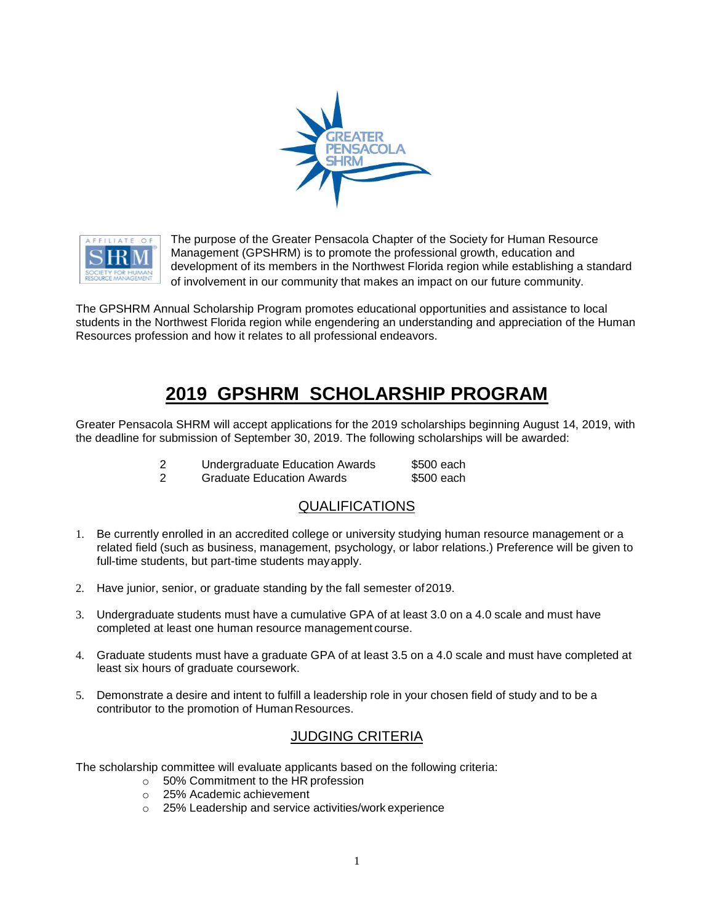



The purpose of the Greater Pensacola Chapter of the Society for Human Resource Management (GPSHRM) is to promote the professional growth, education and development of its members in the Northwest Florida region while establishing a standard of involvement in our community that makes an impact on our future community.

The GPSHRM Annual Scholarship Program promotes educational opportunities and assistance to local students in the Northwest Florida region while engendering an understanding and appreciation of the Human Resources profession and how it relates to all professional endeavors.

# **2019 GPSHRM SCHOLARSHIP PROGRAM**

Greater Pensacola SHRM will accept applications for the 2019 scholarships beginning August 14, 2019, with the deadline for submission of September 30, 2019. The following scholarships will be awarded:

| <b>Undergraduate Education Awards</b> | \$500 each |
|---------------------------------------|------------|
|                                       |            |

2 Graduate Education Awards \$500 each

### QUALIFICATIONS

- 1. Be currently enrolled in an accredited college or university studying human resource management or a related field (such as business, management, psychology, or labor relations.) Preference will be given to full-time students, but part-time students mayapply.
- 2. Have junior, senior, or graduate standing by the fall semester of2019.
- 3. Undergraduate students must have a cumulative GPA of at least 3.0 on a 4.0 scale and must have completed at least one human resource management course.
- 4. Graduate students must have a graduate GPA of at least 3.5 on a 4.0 scale and must have completed at least six hours of graduate coursework.
- 5. Demonstrate a desire and intent to fulfill a leadership role in your chosen field of study and to be a contributor to the promotion of Human Resources.

## **JUDGING CRITERIA**

The scholarship committee will evaluate applicants based on the following criteria:

- o 50% Commitment to the HR profession
- o 25% Academic achievement
- o 25% Leadership and service activities/work experience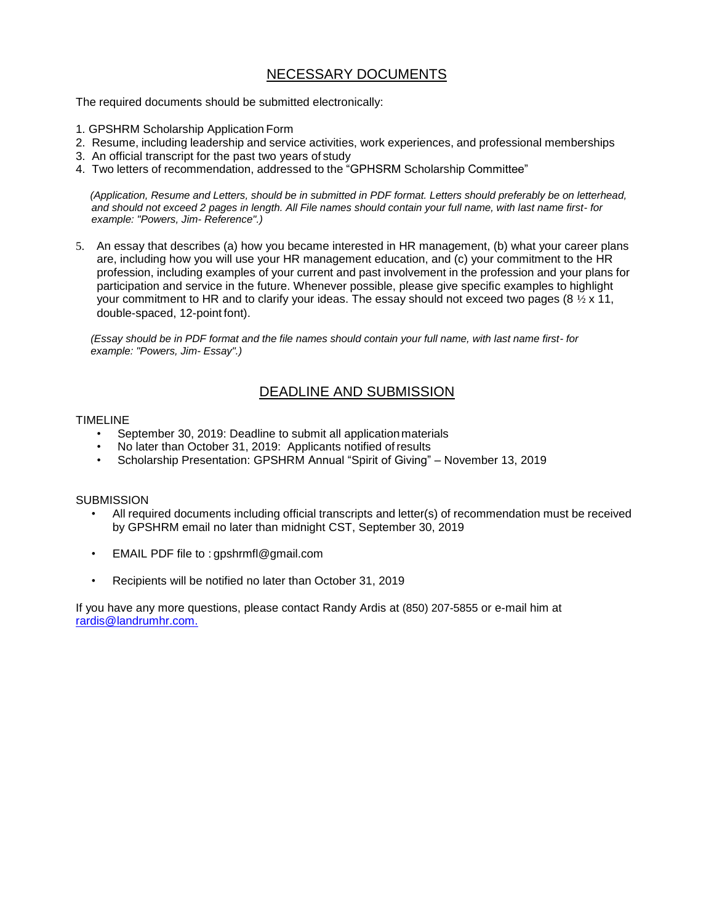### NECESSARY DOCUMENTS

The required documents should be submitted electronically:

- 1. GPSHRM Scholarship Application Form
- 2. Resume, including leadership and service activities, work experiences, and professional memberships
- 3. An official transcript for the past two years of study
- 4. Two letters of recommendation, addressed to the "GPHSRM Scholarship Committee"

*(Application, Resume and Letters, should be in submitted in PDF format. Letters should preferably be on letterhead, and should not exceed 2 pages in length. All File names should contain your full name, with last name first- for example: "Powers, Jim- Reference".)*

5. An essay that describes (a) how you became interested in HR management, (b) what your career plans are, including how you will use your HR management education, and (c) your commitment to the HR profession, including examples of your current and past involvement in the profession and your plans for participation and service in the future. Whenever possible, please give specific examples to highlight your commitment to HR and to clarify your ideas. The essay should not exceed two pages (8  $\frac{1}{2}$  x 11, double-spaced, 12-point font).

*(Essay should be in PDF format and the file names should contain your full name, with last name first- for example: "Powers, Jim- Essay".)*

## DEADLINE AND SUBMISSION

#### TIMELINE

- September 30, 2019: Deadline to submit all applicationmaterials
- No later than October 31, 2019: Applicants notified of results
- Scholarship Presentation: GPSHRM Annual "Spirit of Giving" November 13, 2019

#### **SUBMISSION**

- All required documents including official transcripts and letter(s) of recommendation must be received by GPSHRM email no later than midnight CST, September 30, 2019
- EMAIL PDF file to : [gpshrmfl@gmail.com](mailto:gpshrmfl@gmail.com)
- Recipients will be notified no later than October 31, 2019

If you have any more questions, please contact Randy Ardis at (850) 207-5855 or e-mail him at [rardis@landrumhr.com.](mailto:rardis@landrumhr.com)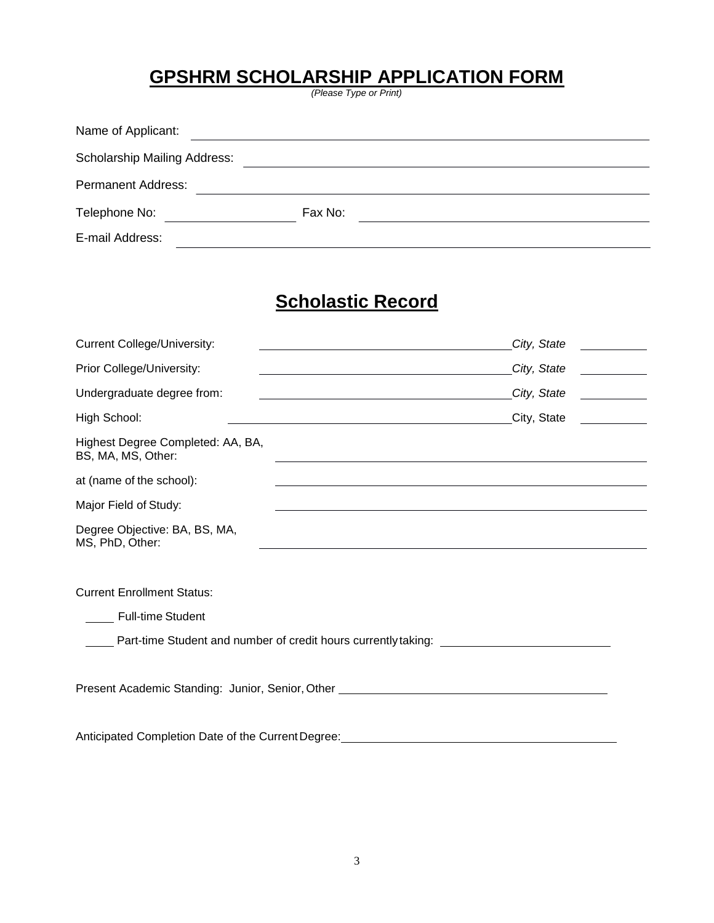## **GPSHRM SCHOLARSHIP APPLICATION FORM**

*(Please Type or Print)*

| Name of Applicant:                  |         |  |
|-------------------------------------|---------|--|
| <b>Scholarship Mailing Address:</b> |         |  |
| <b>Permanent Address:</b>           |         |  |
| Telephone No:                       | Fax No: |  |
| E-mail Address:                     |         |  |

# **Scholastic Record**

| <b>Current College/University:</b>                                               | City, State<br><u> 1989 - Andrea Sta</u>                                                                                                                                                                                      |  |  |  |  |  |
|----------------------------------------------------------------------------------|-------------------------------------------------------------------------------------------------------------------------------------------------------------------------------------------------------------------------------|--|--|--|--|--|
| Prior College/University:                                                        | City, State<br><u> 1999 - Jan Jawa</u>                                                                                                                                                                                        |  |  |  |  |  |
| Undergraduate degree from:                                                       | City, State                                                                                                                                                                                                                   |  |  |  |  |  |
| High School:                                                                     | City, State<br><u> 1999 - Jan Jawa</u><br><u> 1989 - Johann Barn, amerikansk politiker (d. 1989)</u>                                                                                                                          |  |  |  |  |  |
| Highest Degree Completed: AA, BA,<br>BS, MA, MS, Other:                          |                                                                                                                                                                                                                               |  |  |  |  |  |
| at (name of the school):                                                         | <u> 1989 - Johann Stoff, deutscher Stoffen und der Stoffen und der Stoffen und der Stoffen und der Stoffen und der</u>                                                                                                        |  |  |  |  |  |
| Major Field of Study:                                                            | the control of the control of the control of the control of the control of the control of the control of the control of the control of the control of the control of the control of the control of the control of the control |  |  |  |  |  |
| Degree Objective: BA, BS, MA,<br>MS, PhD, Other:                                 |                                                                                                                                                                                                                               |  |  |  |  |  |
|                                                                                  |                                                                                                                                                                                                                               |  |  |  |  |  |
| <b>Current Enrollment Status:</b>                                                |                                                                                                                                                                                                                               |  |  |  |  |  |
| <b>Full-time Student</b>                                                         |                                                                                                                                                                                                                               |  |  |  |  |  |
| Part-time Student and number of credit hours currently taking: _________________ |                                                                                                                                                                                                                               |  |  |  |  |  |
| Present Academic Standing: Junior, Senior, Other _______________________________ |                                                                                                                                                                                                                               |  |  |  |  |  |
| Anticipated Completion Date of the Current Degree:                               |                                                                                                                                                                                                                               |  |  |  |  |  |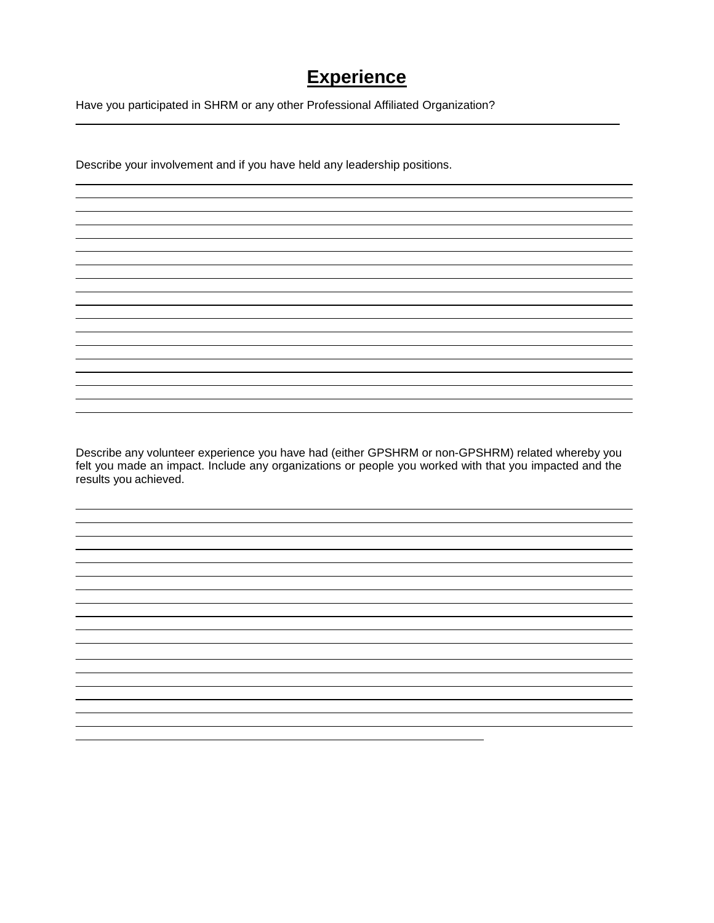## **Experience**

Have you participated in SHRM or any other Professional Affiliated Organization?

Describe your involvement and if you have held any leadership positions.

Describe any volunteer experience you have had (either GPSHRM or non-GPSHRM) related whereby you felt you made an impact. Include any organizations or people you worked with that you impacted and the results you achieved.

and the control of the control of the control of the control of the control of the control of the control of the